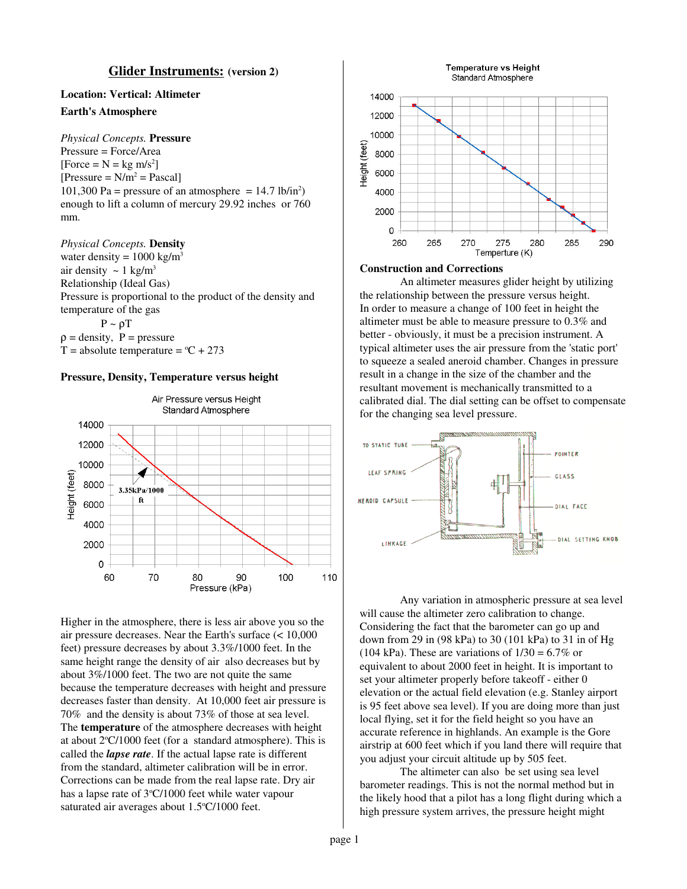### **Glider Instruments: (version 2)**

# **Location: Vertical: Altimeter Earth's Atmosphere**

## *Physical Concepts.* **Pressure**

Pressure = Force/Area [Force =  $N = kg \, m/s^2$ ]  $[Pressure = N/m^2 = Pascal]$ 101,300 Pa = pressure of an atmosphere =  $14.7$  lb/in<sup>2</sup>) enough to lift a column of mercury 29.92 inches or 760 mm.

### *Physical Concepts.* **Density**

water density =  $1000 \text{ kg/m}^3$ air density  $\sim 1 \text{ kg/m}^3$ Relationship (Ideal Gas) Pressure is proportional to the product of the density and temperature of the gas  $P \sim \rho T$  $\rho =$  density,  $P =$  pressure T = absolute temperature =  $°C + 273$ 





Higher in the atmosphere, there is less air above you so the air pressure decreases. Near the Earth's surface (< 10,000 feet) pressure decreases by about 3.3%/1000 feet. In the same height range the density of air also decreases but by about 3%/1000 feet. The two are not quite the same because the temperature decreases with height and pressure decreases faster than density. At 10,000 feet air pressure is 70% and the density is about 73% of those at sea level. The **temperature** of the atmosphere decreases with height at about 2°C/1000 feet (for a standard atmosphere). This is called the *lapse rate*. If the actual lapse rate is different from the standard, altimeter calibration will be in error. Corrections can be made from the real lapse rate. Dry air has a lapse rate of 3°C/1000 feet while water vapour saturated air averages about 1.5°C/1000 feet.



#### **Construction and Corrections**

An altimeter measures glider height by utilizing the relationship between the pressure versus height. In order to measure a change of 100 feet in height the altimeter must be able to measure pressure to 0.3% and better - obviously, it must be a precision instrument. A typical altimeter uses the air pressure from the 'static port' to squeeze a sealed aneroid chamber. Changes in pressure result in a change in the size of the chamber and the resultant movement is mechanically transmitted to a calibrated dial. The dial setting can be offset to compensate for the changing sea level pressure.



Any variation in atmospheric pressure at sea level will cause the altimeter zero calibration to change. Considering the fact that the barometer can go up and down from 29 in (98 kPa) to 30 (101 kPa) to 31 in of Hg (104 kPa). These are variations of  $1/30 = 6.7\%$  or equivalent to about 2000 feet in height. It is important to set your altimeter properly before takeoff - either 0 elevation or the actual field elevation (e.g. Stanley airport is 95 feet above sea level). If you are doing more than just local flying, set it for the field height so you have an accurate reference in highlands. An example is the Gore airstrip at 600 feet which if you land there will require that you adjust your circuit altitude up by 505 feet.

The altimeter can also be set using sea level barometer readings. This is not the normal method but in the likely hood that a pilot has a long flight during which a high pressure system arrives, the pressure height might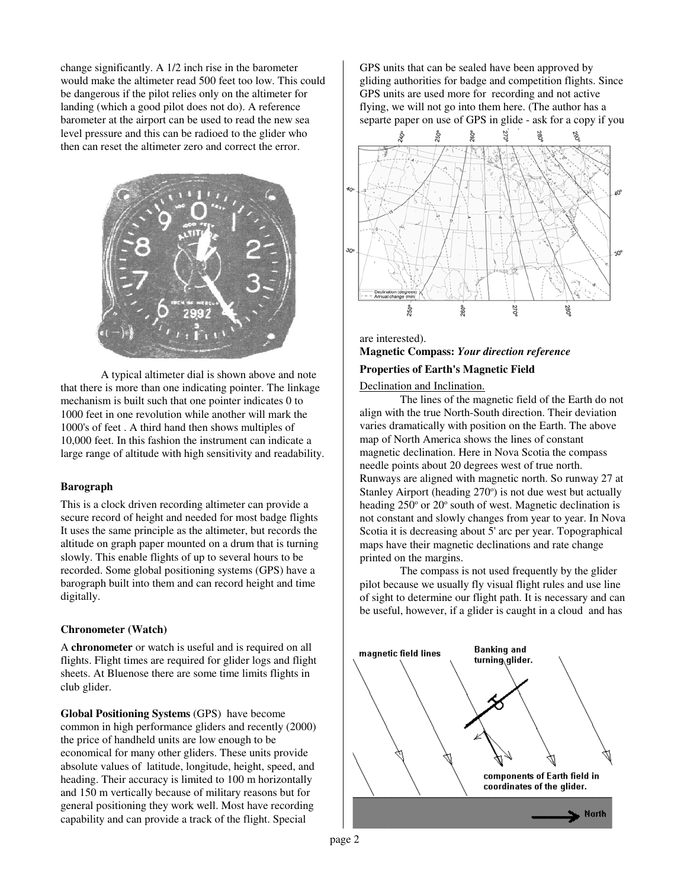change significantly. A 1/2 inch rise in the barometer would make the altimeter read 500 feet too low. This could be dangerous if the pilot relies only on the altimeter for landing (which a good pilot does not do). A reference barometer at the airport can be used to read the new sea level pressure and this can be radioed to the glider who then can reset the altimeter zero and correct the error.



A typical altimeter dial is shown above and note that there is more than one indicating pointer. The linkage mechanism is built such that one pointer indicates 0 to 1000 feet in one revolution while another will mark the 1000's of feet . A third hand then shows multiples of 10,000 feet. In this fashion the instrument can indicate a large range of altitude with high sensitivity and readability.

#### **Barograph**

This is a clock driven recording altimeter can provide a secure record of height and needed for most badge flights It uses the same principle as the altimeter, but records the altitude on graph paper mounted on a drum that is turning slowly. This enable flights of up to several hours to be recorded. Some global positioning systems (GPS) have a barograph built into them and can record height and time digitally.

### **Chronometer (Watch)**

A **chronometer** or watch is useful and is required on all flights. Flight times are required for glider logs and flight sheets. At Bluenose there are some time limits flights in club glider.

**Global Positioning Systems** (GPS) have become common in high performance gliders and recently (2000) the price of handheld units are low enough to be economical for many other gliders. These units provide absolute values of latitude, longitude, height, speed, and heading. Their accuracy is limited to 100 m horizontally and 150 m vertically because of military reasons but for general positioning they work well. Most have recording capability and can provide a track of the flight. Special

GPS units that can be sealed have been approved by gliding authorities for badge and competition flights. Since GPS units are used more for recording and not active flying, we will not go into them here. (The author has a separte paper on use of GPS in glide - ask for a copy if you



are interested). **Magnetic Compass:** *Your direction reference*

### **Properties of Earth's Magnetic Field**

Declination and Inclination.

The lines of the magnetic field of the Earth do not align with the true North-South direction. Their deviation varies dramatically with position on the Earth. The above map of North America shows the lines of constant magnetic declination. Here in Nova Scotia the compass needle points about 20 degrees west of true north. Runways are aligned with magnetic north. So runway 27 at Stanley Airport (heading 270°) is not due west but actually heading 250° or 20° south of west. Magnetic declination is not constant and slowly changes from year to year. In Nova Scotia it is decreasing about 5' arc per year. Topographical maps have their magnetic declinations and rate change printed on the margins.

The compass is not used frequently by the glider pilot because we usually fly visual flight rules and use line of sight to determine our flight path. It is necessary and can be useful, however, if a glider is caught in a cloud and has

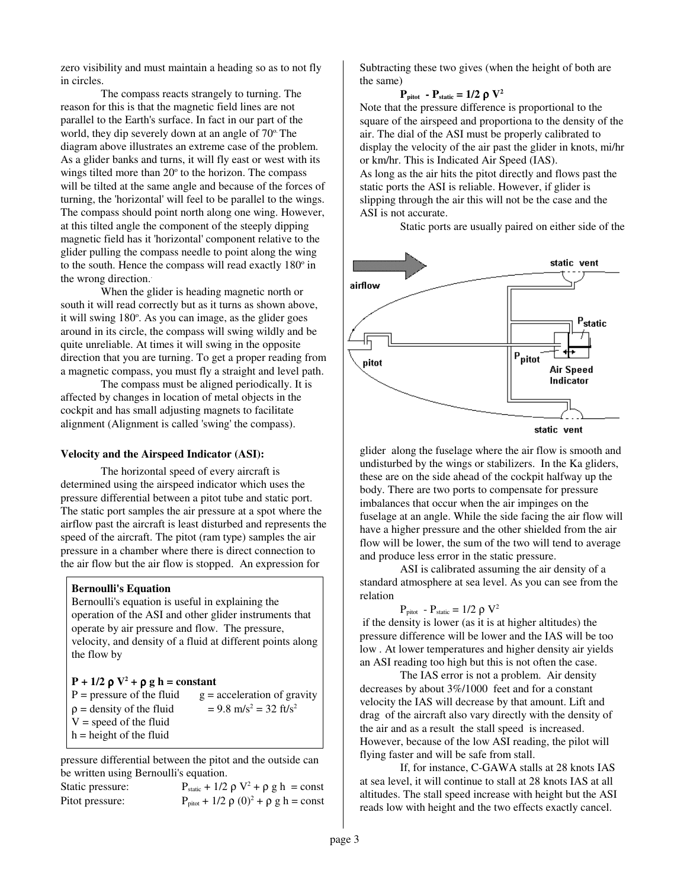zero visibility and must maintain a heading so as to not fly in circles.

The compass reacts strangely to turning. The reason for this is that the magnetic field lines are not parallel to the Earth's surface. In fact in our part of the world, they dip severely down at an angle of 70°. The diagram above illustrates an extreme case of the problem. As a glider banks and turns, it will fly east or west with its wings tilted more than 20° to the horizon. The compass will be tilted at the same angle and because of the forces of turning, the 'horizontal' will feel to be parallel to the wings. The compass should point north along one wing. However, at this tilted angle the component of the steeply dipping magnetic field has it 'horizontal' component relative to the glider pulling the compass needle to point along the wing to the south. Hence the compass will read exactly 180° in the wrong direction. .

When the glider is heading magnetic north or south it will read correctly but as it turns as shown above, it will swing 180°. As you can image, as the glider goes around in its circle, the compass will swing wildly and be quite unreliable. At times it will swing in the opposite direction that you are turning. To get a proper reading from a magnetic compass, you must fly a straight and level path.

The compass must be aligned periodically. It is affected by changes in location of metal objects in the cockpit and has small adjusting magnets to facilitate alignment (Alignment is called 'swing' the compass).

#### **Velocity and the Airspeed Indicator (ASI):**

The horizontal speed of every aircraft is determined using the airspeed indicator which uses the pressure differential between a pitot tube and static port. The static port samples the air pressure at a spot where the airflow past the aircraft is least disturbed and represents the speed of the aircraft. The pitot (ram type) samples the air pressure in a chamber where there is direct connection to the air flow but the air flow is stopped. An expression for

#### **Bernoulli's Equation**

Bernoulli's equation is useful in explaining the operation of the ASI and other glider instruments that operate by air pressure and flow. The pressure, velocity, and density of a fluid at different points along the flow by

| $P + 1/2 \rho V^2 + \rho g h = constant$ |                                                 |
|------------------------------------------|-------------------------------------------------|
| $P = pressure$ of the fluid              | $g = acceleration$ of gravity                   |
| $\rho$ = density of the fluid            | $= 9.8$ m/s <sup>2</sup> = 32 ft/s <sup>2</sup> |
| $V = speed of the fluid$                 |                                                 |
| $h = height of the fluid$                |                                                 |
|                                          |                                                 |

pressure differential between the pitot and the outside can be written using Bernoulli's equation.

| Static pressure: | $P_{static}$ + 1/2 $\rho$ V <sup>2</sup> + $\rho$ g h = const |
|------------------|---------------------------------------------------------------|
| Pitot pressure:  | $P_{\text{pitch}} + 1/2 \rho (0)^2 + \rho g h = \text{const}$ |

Subtracting these two gives (when the height of both are the same)

### $P_{\text{pitch}}$  **-**  $P_{\text{static}} = 1/2 \rho V^2$

Note that the pressure difference is proportional to the square of the airspeed and proportiona to the density of the air. The dial of the ASI must be properly calibrated to display the velocity of the air past the glider in knots, mi/hr or km/hr. This is Indicated Air Speed (IAS).

As long as the air hits the pitot directly and flows past the static ports the ASI is reliable. However, if glider is slipping through the air this will not be the case and the ASI is not accurate.

Static ports are usually paired on either side of the



glider along the fuselage where the air flow is smooth and undisturbed by the wings or stabilizers. In the Ka gliders, these are on the side ahead of the cockpit halfway up the body. There are two ports to compensate for pressure imbalances that occur when the air impinges on the fuselage at an angle. While the side facing the air flow will have a higher pressure and the other shielded from the air flow will be lower, the sum of the two will tend to average and produce less error in the static pressure.

ASI is calibrated assuming the air density of a standard atmosphere at sea level. As you can see from the relation

$$
P_{\text{pitch}} - P_{\text{static}} = 1/2 \ \rho \ V^2
$$

if the density is lower (as it is at higher altitudes) the pressure difference will be lower and the IAS will be too low . At lower temperatures and higher density air yields an ASI reading too high but this is not often the case.

The IAS error is not a problem. Air density decreases by about 3%/1000 feet and for a constant velocity the IAS will decrease by that amount. Lift and drag of the aircraft also vary directly with the density of the air and as a result the stall speed is increased. However, because of the low ASI reading, the pilot will flying faster and will be safe from stall.

If, for instance, C-GAWA stalls at 28 knots IAS at sea level, it will continue to stall at 28 knots IAS at all altitudes. The stall speed increase with height but the ASI reads low with height and the two effects exactly cancel.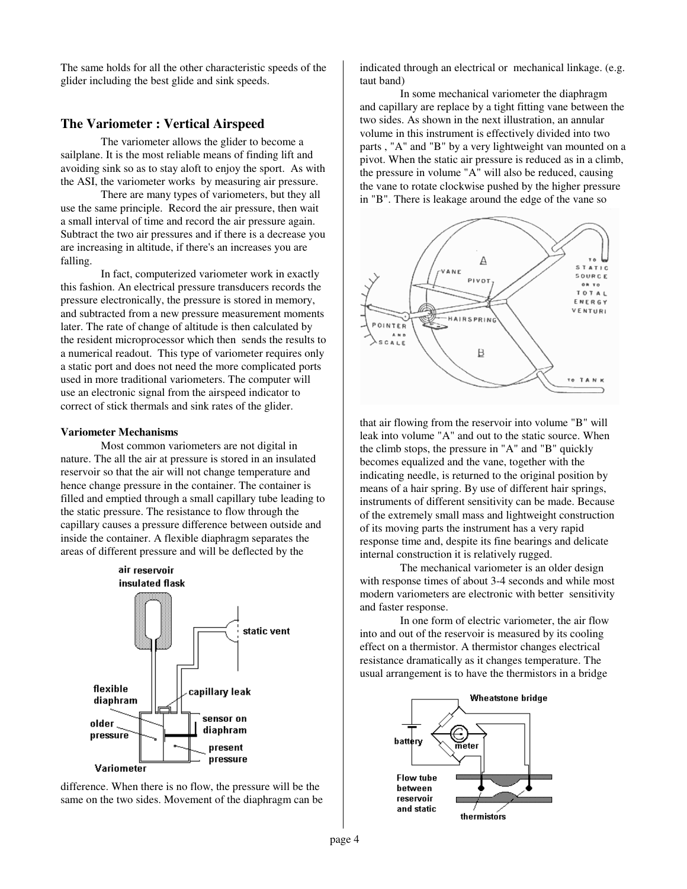The same holds for all the other characteristic speeds of the glider including the best glide and sink speeds.

## **The Variometer : Vertical Airspeed**

The variometer allows the glider to become a sailplane. It is the most reliable means of finding lift and avoiding sink so as to stay aloft to enjoy the sport. As with the ASI, the variometer works by measuring air pressure.

There are many types of variometers, but they all use the same principle. Record the air pressure, then wait a small interval of time and record the air pressure again. Subtract the two air pressures and if there is a decrease you are increasing in altitude, if there's an increases you are falling.

In fact, computerized variometer work in exactly this fashion. An electrical pressure transducers records the pressure electronically, the pressure is stored in memory, and subtracted from a new pressure measurement moments later. The rate of change of altitude is then calculated by the resident microprocessor which then sends the results to a numerical readout. This type of variometer requires only a static port and does not need the more complicated ports used in more traditional variometers. The computer will use an electronic signal from the airspeed indicator to correct of stick thermals and sink rates of the glider.

#### **Variometer Mechanisms**

Most common variometers are not digital in nature. The all the air at pressure is stored in an insulated reservoir so that the air will not change temperature and hence change pressure in the container. The container is filled and emptied through a small capillary tube leading to the static pressure. The resistance to flow through the capillary causes a pressure difference between outside and inside the container. A flexible diaphragm separates the areas of different pressure and will be deflected by the



difference. When there is no flow, the pressure will be the same on the two sides. Movement of the diaphragm can be indicated through an electrical or mechanical linkage. (e.g. taut band)

In some mechanical variometer the diaphragm and capillary are replace by a tight fitting vane between the two sides. As shown in the next illustration, an annular volume in this instrument is effectively divided into two parts , "A" and "B" by a very lightweight van mounted on a pivot. When the static air pressure is reduced as in a climb, the pressure in volume "A" will also be reduced, causing the vane to rotate clockwise pushed by the higher pressure in "B". There is leakage around the edge of the vane so



that air flowing from the reservoir into volume "B" will leak into volume "A" and out to the static source. When the climb stops, the pressure in "A" and "B" quickly becomes equalized and the vane, together with the indicating needle, is returned to the original position by means of a hair spring. By use of different hair springs, instruments of different sensitivity can be made. Because of the extremely small mass and lightweight construction of its moving parts the instrument has a very rapid response time and, despite its fine bearings and delicate internal construction it is relatively rugged.

The mechanical variometer is an older design with response times of about 3-4 seconds and while most modern variometers are electronic with better sensitivity and faster response.

In one form of electric variometer, the air flow into and out of the reservoir is measured by its cooling effect on a thermistor. A thermistor changes electrical resistance dramatically as it changes temperature. The usual arrangement is to have the thermistors in a bridge

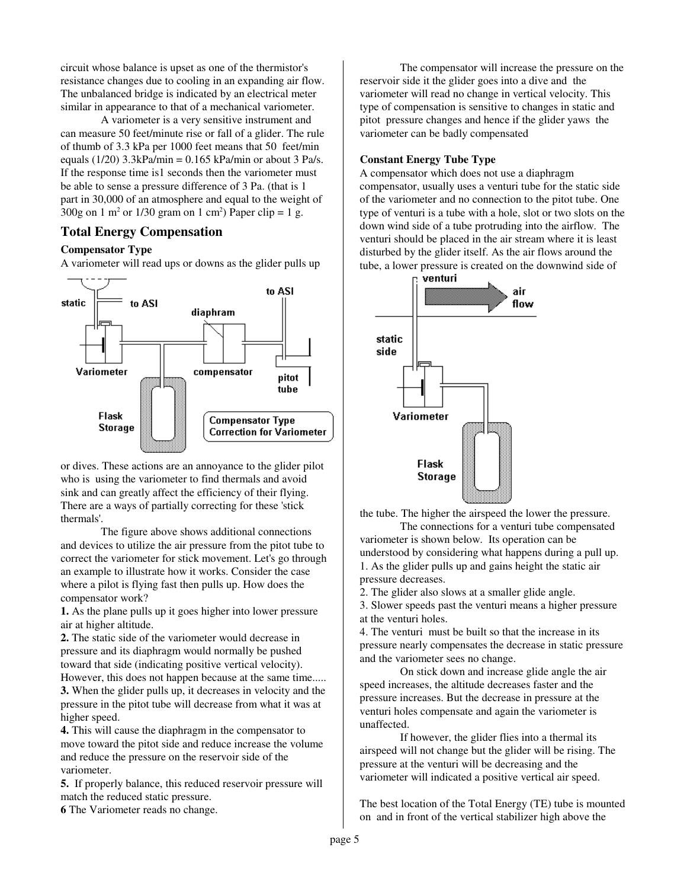circuit whose balance is upset as one of the thermistor's resistance changes due to cooling in an expanding air flow. The unbalanced bridge is indicated by an electrical meter similar in appearance to that of a mechanical variometer.

A variometer is a very sensitive instrument and can measure 50 feet/minute rise or fall of a glider. The rule of thumb of 3.3 kPa per 1000 feet means that 50 feet/min equals (1/20)  $3.3kPa/min = 0.165 kPa/min$  or about 3 Pa/s. If the response time is1 seconds then the variometer must be able to sense a pressure difference of 3 Pa. (that is 1 part in 30,000 of an atmosphere and equal to the weight of  $300g$  on 1 m<sup>2</sup> or 1/30 gram on 1 cm<sup>2</sup>) Paper clip = 1 g.

### **Total Energy Compensation**

#### **Compensator Type**

A variometer will read ups or downs as the glider pulls up



or dives. These actions are an annoyance to the glider pilot who is using the variometer to find thermals and avoid sink and can greatly affect the efficiency of their flying. There are a ways of partially correcting for these 'stick thermals'.

The figure above shows additional connections and devices to utilize the air pressure from the pitot tube to correct the variometer for stick movement. Let's go through an example to illustrate how it works. Consider the case where a pilot is flying fast then pulls up. How does the compensator work?

**1.** As the plane pulls up it goes higher into lower pressure air at higher altitude.

**2.** The static side of the variometer would decrease in pressure and its diaphragm would normally be pushed toward that side (indicating positive vertical velocity). However, this does not happen because at the same time.....

**3.** When the glider pulls up, it decreases in velocity and the pressure in the pitot tube will decrease from what it was at higher speed.

**4.** This will cause the diaphragm in the compensator to move toward the pitot side and reduce increase the volume and reduce the pressure on the reservoir side of the variometer.

**5.** If properly balance, this reduced reservoir pressure will match the reduced static pressure.

**6** The Variometer reads no change.

The compensator will increase the pressure on the reservoir side it the glider goes into a dive and the variometer will read no change in vertical velocity. This type of compensation is sensitive to changes in static and pitot pressure changes and hence if the glider yaws the variometer can be badly compensated

#### **Constant Energy Tube Type**

A compensator which does not use a diaphragm compensator, usually uses a venturi tube for the static side of the variometer and no connection to the pitot tube. One type of venturi is a tube with a hole, slot or two slots on the down wind side of a tube protruding into the airflow. The venturi should be placed in the air stream where it is least disturbed by the glider itself. As the air flows around the tube, a lower pressure is created on the downwind side of



the tube. The higher the airspeed the lower the pressure.

The connections for a venturi tube compensated variometer is shown below. Its operation can be understood by considering what happens during a pull up. 1. As the glider pulls up and gains height the static air pressure decreases.

2. The glider also slows at a smaller glide angle.

3. Slower speeds past the venturi means a higher pressure at the venturi holes.

4. The venturi must be built so that the increase in its pressure nearly compensates the decrease in static pressure and the variometer sees no change.

On stick down and increase glide angle the air speed increases, the altitude decreases faster and the pressure increases. But the decrease in pressure at the venturi holes compensate and again the variometer is unaffected.

If however, the glider flies into a thermal its airspeed will not change but the glider will be rising. The pressure at the venturi will be decreasing and the variometer will indicated a positive vertical air speed.

The best location of the Total Energy (TE) tube is mounted on and in front of the vertical stabilizer high above the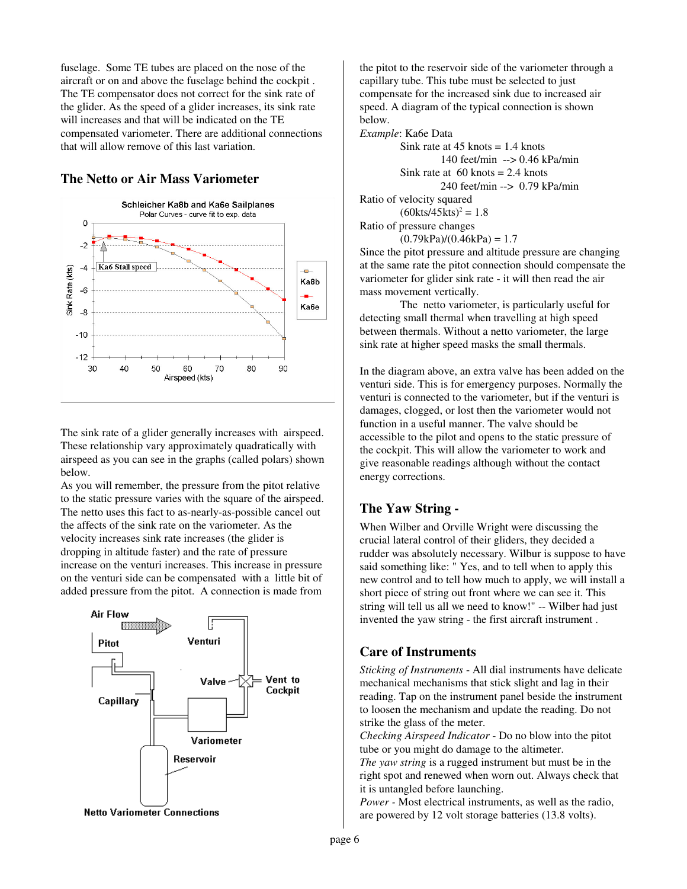fuselage. Some TE tubes are placed on the nose of the aircraft or on and above the fuselage behind the cockpit . The TE compensator does not correct for the sink rate of the glider. As the speed of a glider increases, its sink rate will increases and that will be indicated on the TE compensated variometer. There are additional connections that will allow remove of this last variation.

# **The Netto or Air Mass Variometer**



The sink rate of a glider generally increases with airspeed. These relationship vary approximately quadratically with airspeed as you can see in the graphs (called polars) shown below.

As you will remember, the pressure from the pitot relative to the static pressure varies with the square of the airspeed. The netto uses this fact to as-nearly-as-possible cancel out the affects of the sink rate on the variometer. As the velocity increases sink rate increases (the glider is dropping in altitude faster) and the rate of pressure increase on the venturi increases. This increase in pressure on the venturi side can be compensated with a little bit of added pressure from the pitot. A connection is made from



the pitot to the reservoir side of the variometer through a capillary tube. This tube must be selected to just compensate for the increased sink due to increased air speed. A diagram of the typical connection is shown below.

*Example*: Ka6e Data

Sink rate at  $45$  knots = 1.4 knots 140 feet/min --> 0.46 kPa/min Sink rate at  $60$  knots = 2.4 knots 240 feet/min --> 0.79 kPa/min Ratio of velocity squared  $(60kts/45kts)^2 = 1.8$ Ratio of pressure changes  $(0.79kPa)/(0.46kPa) = 1.7$ 

Since the pitot pressure and altitude pressure are changing at the same rate the pitot connection should compensate the variometer for glider sink rate - it will then read the air mass movement vertically.

The netto variometer, is particularly useful for detecting small thermal when travelling at high speed between thermals. Without a netto variometer, the large sink rate at higher speed masks the small thermals.

In the diagram above, an extra valve has been added on the venturi side. This is for emergency purposes. Normally the venturi is connected to the variometer, but if the venturi is damages, clogged, or lost then the variometer would not function in a useful manner. The valve should be accessible to the pilot and opens to the static pressure of the cockpit. This will allow the variometer to work and give reasonable readings although without the contact energy corrections.

## **The Yaw String -**

When Wilber and Orville Wright were discussing the crucial lateral control of their gliders, they decided a rudder was absolutely necessary. Wilbur is suppose to have said something like: " Yes, and to tell when to apply this new control and to tell how much to apply, we will install a short piece of string out front where we can see it. This string will tell us all we need to know!" -- Wilber had just invented the yaw string - the first aircraft instrument .

## **Care of Instruments**

*Sticking of Instruments* - All dial instruments have delicate mechanical mechanisms that stick slight and lag in their reading. Tap on the instrument panel beside the instrument to loosen the mechanism and update the reading. Do not strike the glass of the meter.

*Checking Airspeed Indicator* - Do no blow into the pitot tube or you might do damage to the altimeter.

*The yaw string* is a rugged instrument but must be in the right spot and renewed when worn out. Always check that it is untangled before launching.

*Power -* Most electrical instruments, as well as the radio, are powered by 12 volt storage batteries (13.8 volts).